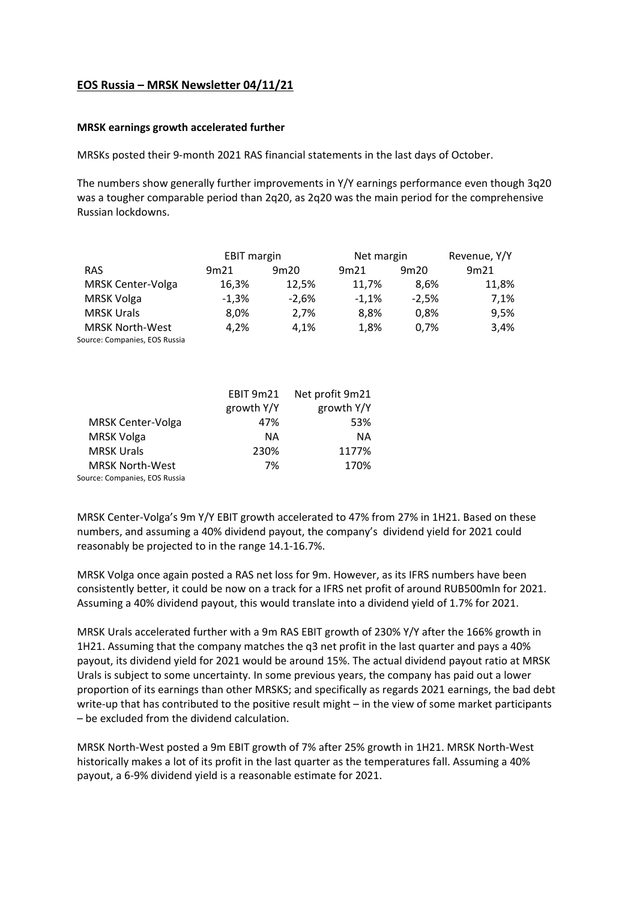## **EOS Russia – MRSK Newsletter 04/11/21**

## **MRSK earnings growth accelerated further**

MRSKs posted their 9-month 2021 RAS financial statements in the last days of October.

The numbers show generally further improvements in Y/Y earnings performance even though 3q20 was a tougher comparable period than 2q20, as 2q20 was the main period for the comprehensive Russian lockdowns.

|                               | <b>EBIT margin</b> |         | Net margin | Revenue, Y/Y |       |
|-------------------------------|--------------------|---------|------------|--------------|-------|
| <b>RAS</b>                    | 9m21               | 9m20    | 9m21       | 9m20         | 9m21  |
| <b>MRSK Center-Volga</b>      | 16,3%              | 12.5%   | 11.7%      | 8.6%         | 11,8% |
| <b>MRSK Volga</b>             | $-1.3%$            | $-2.6%$ | $-1.1%$    | $-2.5%$      | 7,1%  |
| <b>MRSK Urals</b>             | 8.0%               | 2.7%    | 8.8%       | 0.8%         | 9.5%  |
| <b>MRSK North-West</b>        | 4,2%               | 4,1%    | 1.8%       | 0.7%         | 3,4%  |
| Source: Companies, EOS Russia |                    |         |            |              |       |

|                               | <b>EBIT 9m21</b> | Net profit 9m21 |  |
|-------------------------------|------------------|-----------------|--|
|                               | growth Y/Y       | growth Y/Y      |  |
| <b>MRSK Center-Volga</b>      | 47%              | 53%             |  |
| <b>MRSK Volga</b>             | NA.              | NА              |  |
| <b>MRSK Urals</b>             | 230%             | 1177%           |  |
| <b>MRSK North-West</b>        | 7%               | 170%            |  |
| Source: Companies, EOS Russia |                  |                 |  |

MRSK Center-Volga's 9m Y/Y EBIT growth accelerated to 47% from 27% in 1H21. Based on these numbers, and assuming a 40% dividend payout, the company's dividend yield for 2021 could reasonably be projected to in the range 14.1-16.7%.

MRSK Volga once again posted a RAS net loss for 9m. However, as its IFRS numbers have been consistently better, it could be now on a track for a IFRS net profit of around RUB500mln for 2021. Assuming a 40% dividend payout, this would translate into a dividend yield of 1.7% for 2021.

MRSK Urals accelerated further with a 9m RAS EBIT growth of 230% Y/Y after the 166% growth in 1H21. Assuming that the company matches the q3 net profit in the last quarter and pays a 40% payout, its dividend yield for 2021 would be around 15%. The actual dividend payout ratio at MRSK Urals is subject to some uncertainty. In some previous years, the company has paid out a lower proportion of its earnings than other MRSKS; and specifically as regards 2021 earnings, the bad debt write-up that has contributed to the positive result might – in the view of some market participants – be excluded from the dividend calculation.

MRSK North-West posted a 9m EBIT growth of 7% after 25% growth in 1H21. MRSK North-West historically makes a lot of its profit in the last quarter as the temperatures fall. Assuming a 40% payout, a 6-9% dividend yield is a reasonable estimate for 2021.